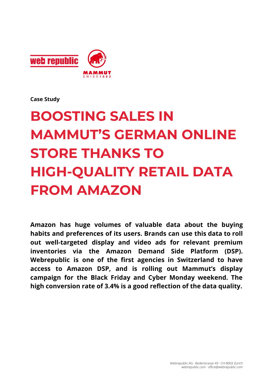

**Case Study**

# **BOOSTING SALES IN MAMMUT'S GERMAN ONLINE STORE THANKS TO HIGH-QUALITY RETAIL DATA FROM AMAZON**

**Amazon has huge volumes of valuable data about the buying habits and preferences of its users. Brands can use this data to roll out well-targeted display and video ads for relevant premium inventories via the Amazon Demand Side Platform (DSP). Webrepublic is one of the first agencies in Switzerland to have access to Amazon DSP, and is rolling out Mammut's display campaign for the Black Friday and Cyber Monday weekend. The high conversion rate of 3.4% is a good reflection of the data quality.**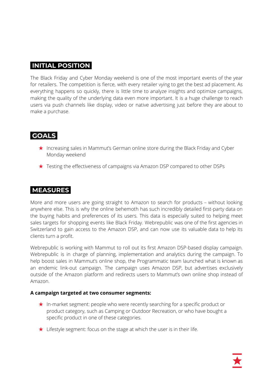# **INITIAL POSITION.**

The Black Friday and Cyber Monday weekend is one of the most important events of the year for retailers. The competition is fierce, with every retailer vying to get the best ad placement. As everything happens so quickly, there is little time to analyze insights and optimize campaigns, making the quality of the underlying data even more important. It is a huge challenge to reach users via push channels like display, video or native advertising just before they are about to make a purchase.

# **GOALS.**

- ★ Increasing sales in Mammut's German online store during the Black Friday and Cyber Monday weekend
- ★ Testing the effectiveness of campaigns via Amazon DSP compared to other DSPs

## **MEASURES.**

More and more users are going straight to Amazon to search for products – without looking anywhere else. This is why the online behemoth has such incredibly detailed first-party data on the buying habits and preferences of its users. This data is especially suited to helping meet sales targets for shopping events like Black Friday. Webrepublic was one of the first agencies in Switzerland to gain access to the Amazon DSP, and can now use its valuable data to help its clients turn a profit.

Webrepublic is working with Mammut to roll out its first Amazon DSP-based display campaign. Webrepublic is in charge of planning, implementation and analytics during the campaign. To help boost sales in Mammut's online shop, the Programmatic team launched what is known as an endemic link-out campaign. The campaign uses Amazon DSP, but advertises exclusively outside of the Amazon platform and redirects users to Mammut's own online shop instead of Amazon.

#### **A campaign targeted at two consumer segments:**

- ★ In-market segment: people who were recently searching for a specific product or product category, such as Camping or Outdoor Recreation, or who have bought a specific product in one of these categories.
- ★ Lifestyle segment: focus on the stage at which the user is in their life.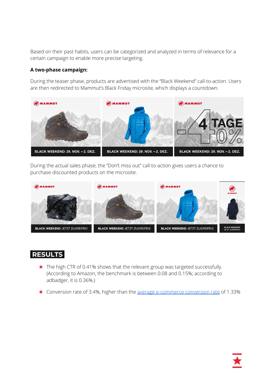Based on their past habits, users can be categorized and analyzed in terms of relevance for a certain campaign to enable more precise targeting.

#### **A two-phase campaign:**

During the teaser phase, products are advertised with the "Black Weekend" call-to-action. Users are then redirected to Mammut's Black Friday microsite, which displays a countdown.



During the actual sales phase, the "Don't miss out" call-to-action gives users a chance to purchase discounted products on the microsite.



# **RESULTS.**

- ★ The high CTR of 0.41% shows that the relevant group was targeted successfully. (According to Amazon, the benchmark is between 0.08 and 0.15%; according to adbadger, it is 0.36%.)
- ★ Conversion rate of 3.4%, higher than the average [e-commerce](https://www.adbadger.com/blog/amazon-advertising-stats/#CTR) conversion rate of 1.33%

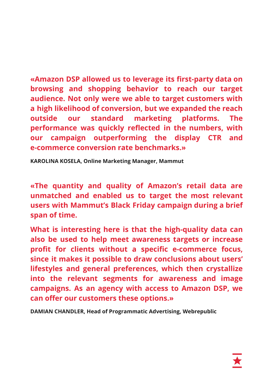**«Amazon DSP allowed us to leverage its first-party data on browsing and shopping behavior to reach our target audience. Not only were we able to target customers with a high likelihood of conversion, but we expanded the reach outside our standard marketing platforms. The performance was quickly reflected in the numbers, with our campaign outperforming the display CTR and e-commerce conversion rate benchmarks.»**

**KAROLINA KOSELA, Online Marketing Manager, Mammut**

**«The quantity and quality of Amazon's retail data are unmatched and enabled us to target the most relevant users with Mammut's Black Friday campaign during a brief span of time.**

**What is interesting here is that the high-quality data can also be used to help meet awareness targets or increase profit for clients without a specific e-commerce focus, since it makes it possible to draw conclusions about users' lifestyles and general preferences, which then crystallize into the relevant segments for awareness and image campaigns. As an agency with access to Amazon DSP, we can offer our customers these options.»**

**DAMIAN CHANDLER, Head of Programmatic Advertising, Webrepublic**